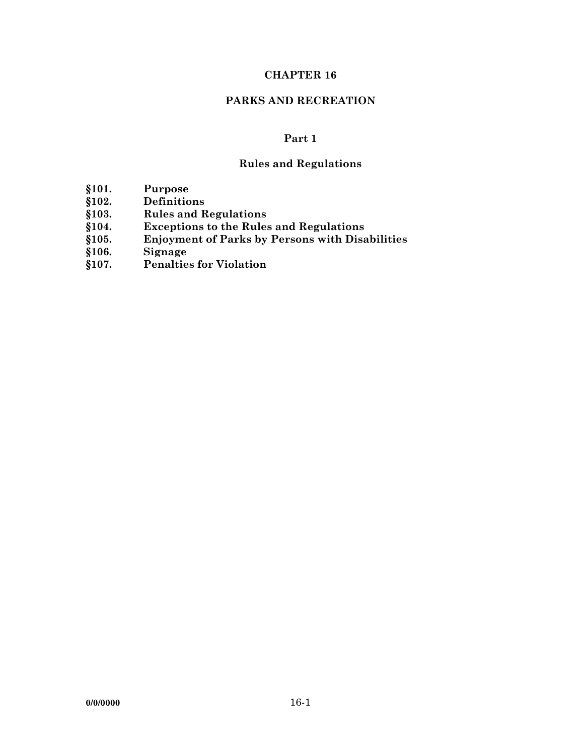## **CHAPTER 16**

## **PARKS AND RECREATION**

# **Part 1**

# **Rules and Regulations**

- **§101. Purpose**
- 
- **§102. Definitions**
- **§103. Rules and Regulations §104. Exceptions to the Rules and Regulations**
- **§105. Enjoyment of Parks by Persons with Disabilities**
- **§106. Signage**
- **§107. Penalties for Violation**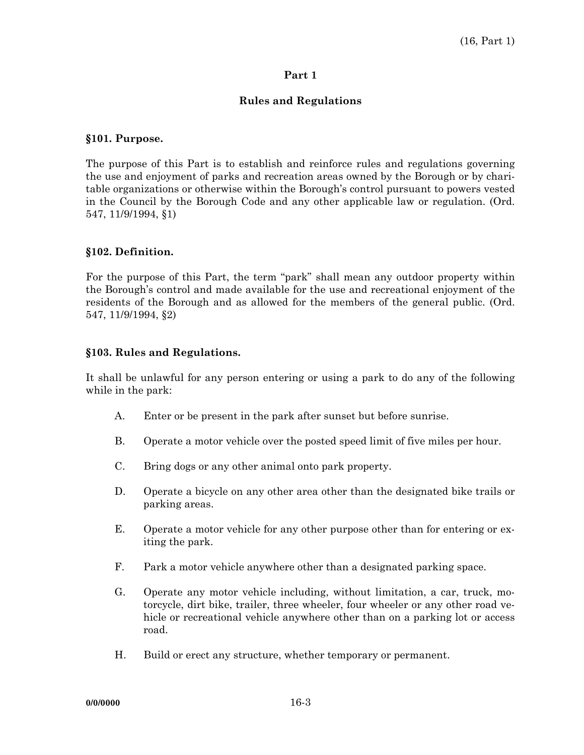#### **Part 1**

## **Rules and Regulations**

#### **§101. Purpose.**

The purpose of this Part is to establish and reinforce rules and regulations governing the use and enjoyment of parks and recreation areas owned by the Borough or by charitable organizations or otherwise within the Borough's control pursuant to powers vested in the Council by the Borough Code and any other applicable law or regulation. (Ord. 547, 11/9/1994, §1)

#### **§102. Definition.**

For the purpose of this Part, the term "park" shall mean any outdoor property within the Borough's control and made available for the use and recreational enjoyment of the residents of the Borough and as allowed for the members of the general public. (Ord. 547, 11/9/1994, §2)

#### **§103. Rules and Regulations.**

It shall be unlawful for any person entering or using a park to do any of the following while in the park:

- A. Enter or be present in the park after sunset but before sunrise.
- B. Operate a motor vehicle over the posted speed limit of five miles per hour.
- C. Bring dogs or any other animal onto park property.
- D. Operate a bicycle on any other area other than the designated bike trails or parking areas.
- E. Operate a motor vehicle for any other purpose other than for entering or exiting the park.
- F. Park a motor vehicle anywhere other than a designated parking space.
- G. Operate any motor vehicle including, without limitation, a car, truck, motorcycle, dirt bike, trailer, three wheeler, four wheeler or any other road vehicle or recreational vehicle anywhere other than on a parking lot or access road.
- H. Build or erect any structure, whether temporary or permanent.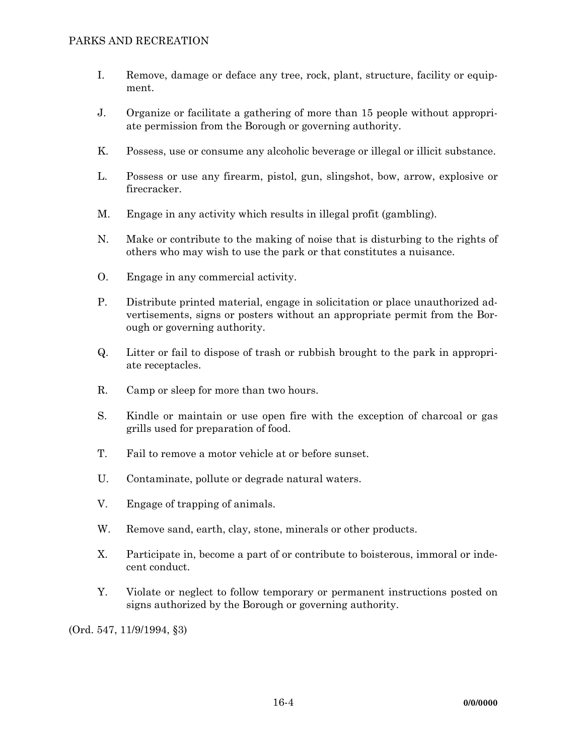- I. Remove, damage or deface any tree, rock, plant, structure, facility or equipment.
- J. Organize or facilitate a gathering of more than 15 people without appropriate permission from the Borough or governing authority.
- K. Possess, use or consume any alcoholic beverage or illegal or illicit substance.
- L. Possess or use any firearm, pistol, gun, slingshot, bow, arrow, explosive or firecracker.
- M. Engage in any activity which results in illegal profit (gambling).
- N. Make or contribute to the making of noise that is disturbing to the rights of others who may wish to use the park or that constitutes a nuisance.
- O. Engage in any commercial activity.
- P. Distribute printed material, engage in solicitation or place unauthorized advertisements, signs or posters without an appropriate permit from the Borough or governing authority.
- Q. Litter or fail to dispose of trash or rubbish brought to the park in appropriate receptacles.
- R. Camp or sleep for more than two hours.
- S. Kindle or maintain or use open fire with the exception of charcoal or gas grills used for preparation of food.
- T. Fail to remove a motor vehicle at or before sunset.
- U. Contaminate, pollute or degrade natural waters.
- V. Engage of trapping of animals.
- W. Remove sand, earth, clay, stone, minerals or other products.
- X. Participate in, become a part of or contribute to boisterous, immoral or indecent conduct.
- Y. Violate or neglect to follow temporary or permanent instructions posted on signs authorized by the Borough or governing authority.

(Ord. 547, 11/9/1994, §3)